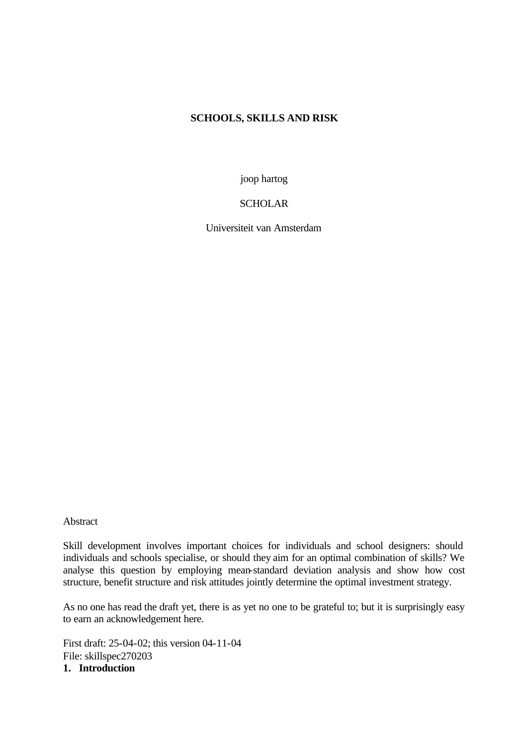# **SCHOOLS, SKILLS AND RISK**

joop hartog

**SCHOLAR** 

Universiteit van Amsterdam

Abstract

Skill development involves important choices for individuals and school designers: should individuals and schools specialise, or should they aim for an optimal combination of skills? We analyse this question by employing mean-standard deviation analysis and show how cost structure, benefit structure and risk attitudes jointly determine the optimal investment strategy.

As no one has read the draft yet, there is as yet no one to be grateful to; but it is surprisingly easy to earn an acknowledgement here.

First draft: 25-04-02; this version 04-11-04 File: skillspec270203 **1. Introduction**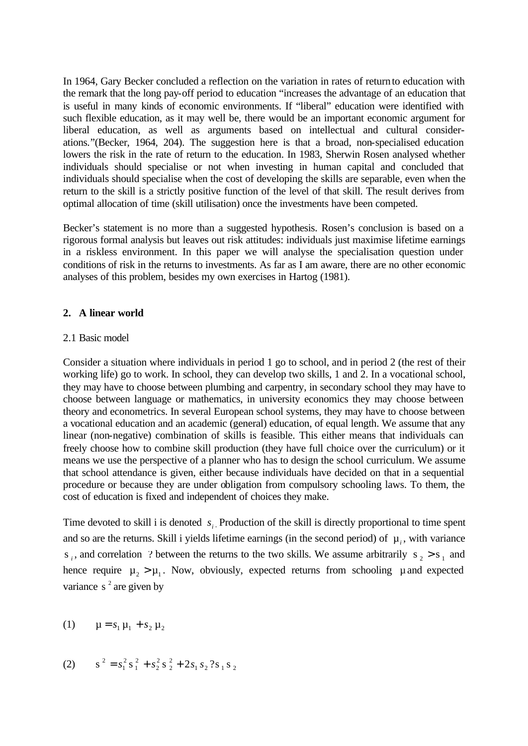In 1964, Gary Becker concluded a reflection on the variation in rates of returnto education with the remark that the long pay-off period to education "increases the advantage of an education that is useful in many kinds of economic environments. If "liberal" education were identified with such flexible education, as it may well be, there would be an important economic argument for liberal education, as well as arguments based on intellectual and cultural considerations."(Becker, 1964, 204). The suggestion here is that a broad, non-specialised education lowers the risk in the rate of return to the education. In 1983, Sherwin Rosen analysed whether individuals should specialise or not when investing in human capital and concluded that individuals should specialise when the cost of developing the skills are separable, even when the return to the skill is a strictly positive function of the level of that skill. The result derives from optimal allocation of time (skill utilisation) once the investments have been competed.

Becker's statement is no more than a suggested hypothesis. Rosen's conclusion is based on a rigorous formal analysis but leaves out risk attitudes: individuals just maximise lifetime earnings in a riskless environment. In this paper we will analyse the specialisation question under conditions of risk in the returns to investments. As far as I am aware, there are no other economic analyses of this problem, besides my own exercises in Hartog (1981).

## **2. A linear world**

### 2.1 Basic model

Consider a situation where individuals in period 1 go to school, and in period 2 (the rest of their working life) go to work. In school, they can develop two skills, 1 and 2. In a vocational school, they may have to choose between plumbing and carpentry, in secondary school they may have to choose between language or mathematics, in university economics they may choose between theory and econometrics. In several European school systems, they may have to choose between a vocational education and an academic (general) education, of equal length. We assume that any linear (non-negative) combination of skills is feasible. This either means that individuals can freely choose how to combine skill production (they have full choice over the curriculum) or it means we use the perspective of a planner who has to design the school curriculum. We assume that school attendance is given, either because individuals have decided on that in a sequential procedure or because they are under obligation from compulsory schooling laws. To them, the cost of education is fixed and independent of choices they make.

Time devoted to skill i is denoted  $s_i$ . Production of the skill is directly proportional to time spent and so are the returns. Skill i yields lifetime earnings (in the second period) of  $\mu_i$ , with variance  $s_i$ , and correlation ? between the returns to the two skills. We assume arbitrarily  $s_2 > s_1$  and hence require  $\mu_2 > \mu_1$ . Now, obviously, expected returns from schooling  $\mu$  and expected variance  $s^2$  are given by

(1) 
$$
\mu = s_1 \mu_1 + s_2 \mu_2
$$

(2) 
$$
s^{2} = s_{1}^{2} s_{1}^{2} + s_{2}^{2} s_{2}^{2} + 2s_{1} s_{2}^{2} s_{1} s_{2}
$$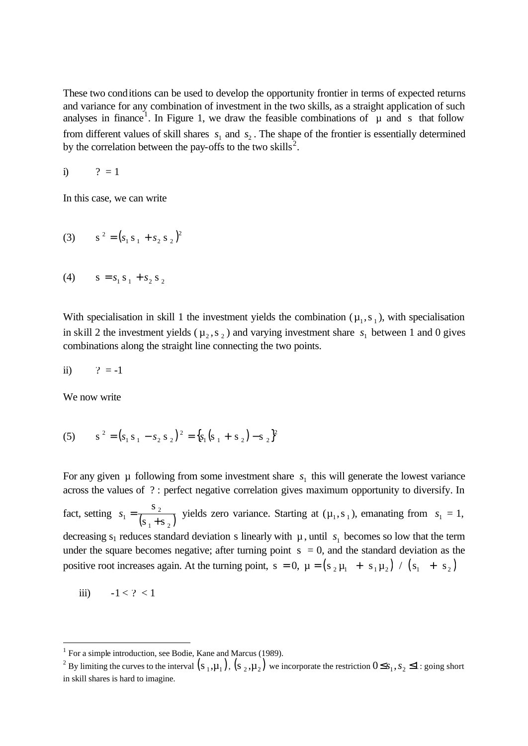These two conditions can be used to develop the opportunity frontier in terms of expected returns and variance for any combination of investment in the two skills, as a straight application of such analyses in finance<sup>1</sup>. In Figure 1, we draw the feasible combinations of  $\mu$  and s that follow from different values of skill shares  $s_1$  and  $s_2$ . The shape of the frontier is essentially determined by the correlation between the pay-offs to the two skills<sup>2</sup>.

i)  $? = 1$ 

In this case, we can write

(3) 
$$
s^{2} = (s_{1} s_{1} + s_{2} s_{2})^{2}
$$

(4) 
$$
s = s_1 s_1 + s_2 s_2
$$

With specialisation in skill 1 the investment yields the combination  $(\mu_1, s_1)$ , with specialisation in skill 2 the investment yields ( $\mu_2$ , s<sub>2</sub>) and varying investment share  $s_1$  between 1 and 0 gives combinations along the straight line connecting the two points.

$$
ii) \qquad ? = -1
$$

We now write

(5) 
$$
s^{2} = (s_{1} s_{1} - s_{2} s_{2})^{2} = \{s_{1} (s_{1} + s_{2}) - s_{2}\}^{2}
$$

For any given  $\mu$  following from some investment share  $s_1$  this will generate the lowest variance across the values of ? : perfect negative correlation gives maximum opportunity to diversify. In fact, setting  $s_1 = \frac{s_2}{(s_1 + s_2)}$  $1 - \frac{1}{s_1 + s}$ s  $s_1 = \frac{s_2}{(s_1 + s_2)}$  yields zero variance. Starting at  $(\mu_1, s_1)$ , emanating from  $s_1 = 1$ , decreasing  $s_1$  reduces standard deviation s linearly with  $\mu$ , until  $s_1$  becomes so low that the term under the square becomes negative; after turning point  $s = 0$ , and the standard deviation as the positive root increases again. At the turning point,  $s = 0$ ,  $\mu = (s_2 \mu_1 + s_1 \mu_2) / (s_1 + s_2)$ 

$$
iii) \qquad -1 < ? < 1
$$

l

<sup>&</sup>lt;sup>1</sup> For a simple introduction, see Bodie, Kane and Marcus (1989).

<sup>&</sup>lt;sup>2</sup> By limiting the curves to the interval  $(s_1,\mu_1)$ ,  $(s_2,\mu_2)$  we incorporate the restriction  $0 \le s_1, s_2 \le 1$ : going short in skill shares is hard to imagine.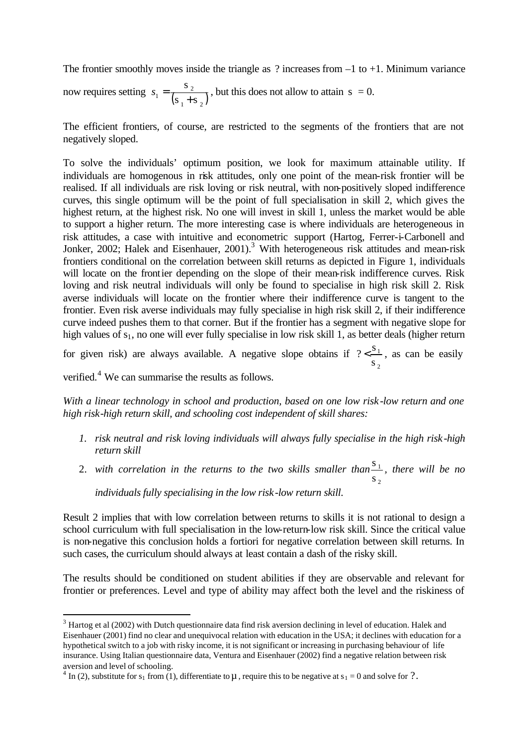The frontier smoothly moves inside the triangle as  $\gamma$  increases from  $-1$  to  $+1$ . Minimum variance s

now requires setting  $s_1 = \frac{s_2}{(s_1 + s_2)}$  $1 - \frac{1}{s_1 + s}$ +  $s_1 = \frac{32}{(12.5 \times 10^{11} \text{ s})}$ , but this does not allow to attain s = 0.

The efficient frontiers, of course, are restricted to the segments of the frontiers that are not negatively sloped.

To solve the individuals' optimum position, we look for maximum attainable utility. If individuals are homogenous in risk attitudes, only one point of the mean-risk frontier will be realised. If all individuals are risk loving or risk neutral, with non-positively sloped indifference curves, this single optimum will be the point of full specialisation in skill 2, which gives the highest return, at the highest risk. No one will invest in skill 1, unless the market would be able to support a higher return. The more interesting case is where individuals are heterogeneous in risk attitudes, a case with intuitive and econometric support (Hartog, Ferrer-i-Carbonell and Jonker, 2002; Halek and Eisenhauer, 2001).<sup>3</sup> With heterogeneous risk attitudes and mean-risk frontiers conditional on the correlation between skill returns as depicted in Figure 1, individuals will locate on the frontier depending on the slope of their mean-risk indifference curves. Risk loving and risk neutral individuals will only be found to specialise in high risk skill 2. Risk averse individuals will locate on the frontier where their indifference curve is tangent to the frontier. Even risk averse individuals may fully specialise in high risk skill 2, if their indifference curve indeed pushes them to that corner. But if the frontier has a segment with negative slope for high values of s<sub>1</sub>, no one will ever fully specialise in low risk skill 1, as better deals (higher return

for given risk) are always available. A negative slope obtains if  $? < \frac{5}{1}$ 2  $? < \frac{s}{1}$ s  $\leq$   $\frac{31}{2}$ , as can be easily

verified.<sup>4</sup> We can summarise the results as follows.

l

*With a linear technology in school and production, based on one low risk -low return and one high risk-high return skill, and schooling cost independent of skill shares:*

- *1. risk neutral and risk loving individuals will always fully specialise in the high risk -high return skill*
- 2. with correlation in the returns to the two skills smaller than<sup>31</sup> 2 s s *, there will be no individuals fully specialising in the low risk -low return skill*.

Result 2 implies that with low correlation between returns to skills it is not rational to design a school curriculum with full specialisation in the low-return-low risk skill. Since the critical value is non-negative this conclusion holds a fortiori for negative correlation between skill returns. In such cases, the curriculum should always at least contain a dash of the risky skill.

The results should be conditioned on student abilities if they are observable and relevant for frontier or preferences. Level and type of ability may affect both the level and the riskiness of

 $3$  Hartog et al (2002) with Dutch questionnaire data find risk aversion declining in level of education. Halek and Eisenhauer (2001) find no clear and unequivocal relation with education in the USA; it declines with education for a hypothetical switch to a job with risky income, it is not significant or increasing in purchasing behaviour of life insurance. Using Italian questionnaire data, Ventura and Eisenhauer (2002) find a negative relation between risk aversion and level of schooling.

<sup>&</sup>lt;sup>4</sup> In (2), substitute for s<sub>1</sub> from (1), differentiate to  $\mu$ , require this to be negative at s<sub>1</sub> = 0 and solve for ?.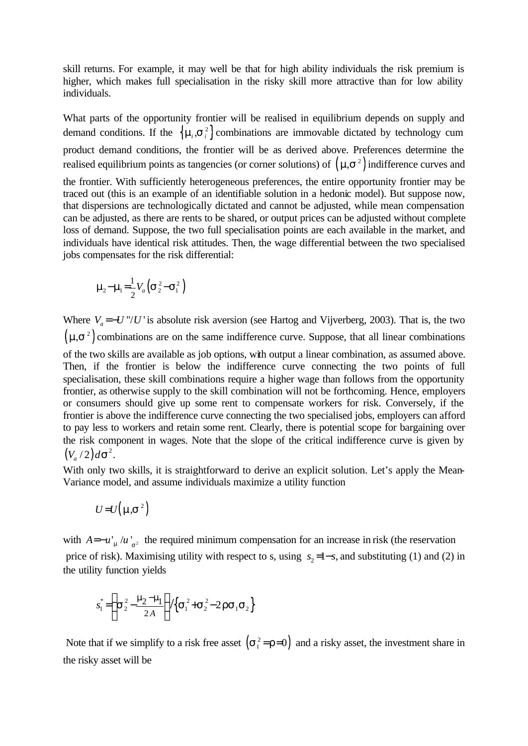skill returns. For example, it may well be that for high ability individuals the risk premium is higher, which makes full specialisation in the risky skill more attractive than for low ability individuals.

What parts of the opportunity frontier will be realised in equilibrium depends on supply and demand conditions. If the  $\{\mathbf{m}, \mathbf{s}^2_i\}$  combinations are immovable dictated by technology cum product demand conditions, the frontier will be as derived above. Preferences determine the realised equilibrium points as tangencies (or corner solutions) of  $(m, s^2)$  indifference curves and the frontier. With sufficiently heterogeneous preferences, the entire opportunity frontier may be traced out (this is an example of an identifiable solution in a hedonic model). But suppose now, that dispersions are technologically dictated and cannot be adjusted, while mean compensation can be adjusted, as there are rents to be shared, or output prices can be adjusted without complete loss of demand. Suppose, the two full specialisation points are each available in the market, and individuals have identical risk attitudes. Then, the wage differential between the two specialised jobs compensates for the risk differential:

$$
\mathbf{m}_2 - \mathbf{m}_1 = \frac{1}{2} V_a \left( \mathbf{S}_2^2 - \mathbf{S}_1^2 \right)
$$

Where  $V_a = -U''/U'$  is absolute risk aversion (see Hartog and Vijverberg, 2003). That is, the two  $(m, s^2)$  combinations are on the same indifference curve. Suppose, that all linear combinations of the two skills are available as job options, with output a linear combination, as assumed above. Then, if the frontier is below the indifference curve connecting the two points of full specialisation, these skill combinations require a higher wage than follows from the opportunity frontier, as otherwise supply to the skill combination will not be forthcoming. Hence, employers or consumers should give up some rent to compensate workers for risk. Conversely, if the frontier is above the indifference curve connecting the two specialised jobs, employers can afford to pay less to workers and retain some rent. Clearly, there is potential scope for bargaining over the risk component in wages. Note that the slope of the critical indifference curve is given by  $(V_a/2)d\mathbf{s}^2$ .

With only two skills, it is straightforward to derive an explicit solution. Let's apply the Mean-Variance model, and assume individuals maximize a utility function

$$
U = U(m, s^2)
$$

with  $A = -u_{m}^{'}/u_{s^2}$  the required minimum compensation for an increase in risk (the reservation price of risk). Maximising utility with respect to s, using  $s_2 = 1 - s$ , and substituting (1) and (2) in the utility function yields

$$
s_1^* = \left\{ \mathbf{s}_2^2 - \frac{\mathbf{m}_2 - \mathbf{m}_1}{2A} \right\} / \left\{ \mathbf{s}_1^2 + \mathbf{s}_2^2 - 2 \mathbf{r} \mathbf{s}_1 \mathbf{s}_2 \right\}
$$

Note that if we simplify to a risk free asset  $(s_1^2 = r=0)$  and a risky asset, the investment share in the risky asset will be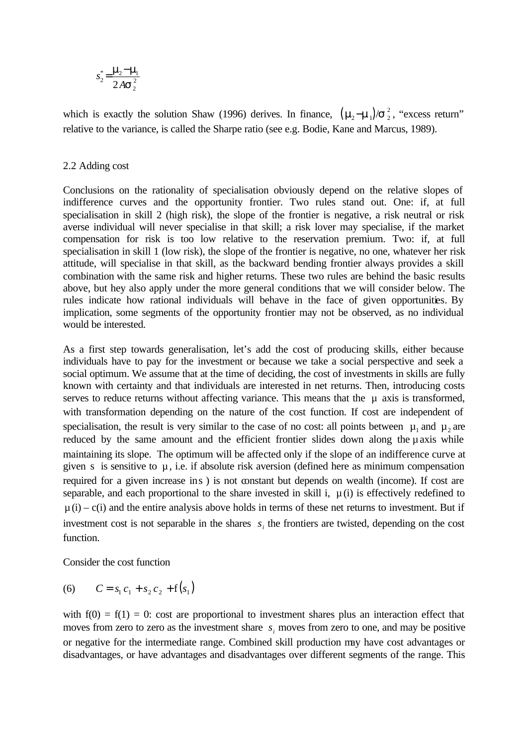$$
s_2^* = \frac{\mathbf{m}_2 - \mathbf{m}_1}{2A\mathbf{s}_2^2}
$$

which is exactly the solution Shaw (1996) derives. In finance,  $(\mathbf{m}_2 - \mathbf{m}_1)/\mathbf{s}_2^2$ , "excess return" relative to the variance, is called the Sharpe ratio (see e.g. Bodie, Kane and Marcus, 1989).

## 2.2 Adding cost

Conclusions on the rationality of specialisation obviously depend on the relative slopes of indifference curves and the opportunity frontier. Two rules stand out. One: if, at full specialisation in skill 2 (high risk), the slope of the frontier is negative, a risk neutral or risk averse individual will never specialise in that skill; a risk lover may specialise, if the market compensation for risk is too low relative to the reservation premium. Two: if, at full specialisation in skill 1 (low risk), the slope of the frontier is negative, no one, whatever her risk attitude, will specialise in that skill, as the backward bending frontier always provides a skill combination with the same risk and higher returns. These two rules are behind the basic results above, but hey also apply under the more general conditions that we will consider below. The rules indicate how rational individuals will behave in the face of given opportunities. By implication, some segments of the opportunity frontier may not be observed, as no individual would be interested.

As a first step towards generalisation, let's add the cost of producing skills, either because individuals have to pay for the investment or because we take a social perspective and seek a social optimum. We assume that at the time of deciding, the cost of investments in skills are fully known with certainty and that individuals are interested in net returns. Then, introducing costs serves to reduce returns without affecting variance. This means that the  $\mu$  axis is transformed, with transformation depending on the nature of the cost function. If cost are independent of specialisation, the result is very similar to the case of no cost: all points between  $\mu_1$  and  $\mu_2$  are reduced by the same amount and the efficient frontier slides down along the  $\mu$  axis while maintaining its slope. The optimum will be affected only if the slope of an indifference curve at given s is sensitive to  $\mu$ , i.e. if absolute risk aversion (defined here as minimum compensation required for a given increase ins ) is not constant but depends on wealth (income). If cost are separable, and each proportional to the share invested in skill i,  $\mu(i)$  is effectively redefined to  $\mu(i) - c(i)$  and the entire analysis above holds in terms of these net returns to investment. But if investment cost is not separable in the shares  $s_i$  the frontiers are twisted, depending on the cost function.

Consider the cost function

(6) 
$$
C = s_1 c_1 + s_2 c_2 + f(s_1)
$$

with  $f(0) = f(1) = 0$ : cost are proportional to investment shares plus an interaction effect that moves from zero to zero as the investment share  $s_i$  moves from zero to one, and may be positive or negative for the intermediate range. Combined skill production may have cost advantages or disadvantages, or have advantages and disadvantages over different segments of the range. This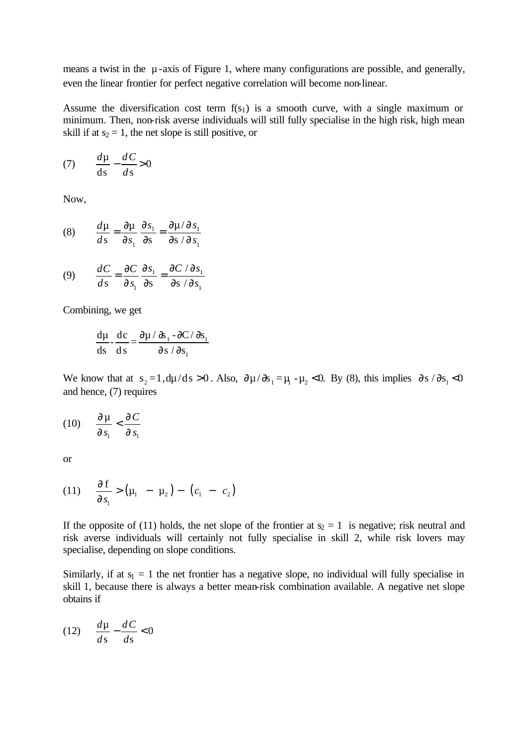means a twist in the  $\mu$ -axis of Figure 1, where many configurations are possible, and generally, even the linear frontier for perfect negative correlation will become non-linear.

Assume the diversification cost term  $f(s_1)$  is a smooth curve, with a single maximum or minimum. Then, non-risk averse individuals will still fully specialise in the high risk, high mean skill if at  $s_2 = 1$ , the net slope is still positive, or

$$
(7) \qquad \frac{d\mu}{ds} - \frac{dC}{ds} > 0
$$

Now,

(8) 
$$
\frac{d\mu}{ds} = \frac{\partial \mu}{\partial s_1} \frac{\partial s_1}{\partial s} = \frac{\partial \mu / \partial s_1}{\partial s / \partial s_1}
$$

(9) 
$$
\frac{dC}{ds} = \frac{\partial C}{\partial s_1} \frac{\partial s_1}{\partial s} = \frac{\partial C}{\partial s} / \frac{\partial s_1}{\partial s_1}
$$

Combining, we get

$$
\frac{d\mu}{ds} - \frac{dc}{ds} = \frac{\partial \mu / \partial s_1 - \partial C / \partial s_1}{\partial s / \partial s_1}
$$

We know that at  $s_2 = 1$ ,  $d\mu/ds > 0$ . Also,  $\partial \mu/\partial s_1 = \mu_1 - \mu_2 < 0$ . By (8), this implies  $\partial s/\partial s_1 < 0$ and hence, (7) requires

$$
(10) \qquad \frac{\partial \mu}{\partial s_1} < \frac{\partial C}{\partial s_1}
$$

or

(11) 
$$
\frac{\partial f}{\partial s_1} > (\mu_1 - \mu_2) - (c_1 - c_2)
$$

If the opposite of (11) holds, the net slope of the frontier at  $s_2 = 1$  is negative; risk neutral and risk averse individuals will certainly not fully specialise in skill 2, while risk lovers may specialise, depending on slope conditions.

Similarly, if at  $s_1 = 1$  the net frontier has a negative slope, no individual will fully specialise in skill 1, because there is always a better mean-risk combination available. A negative net slope obtains if

$$
(12)\quad \frac{d\mu}{ds} - \frac{dC}{ds} < 0
$$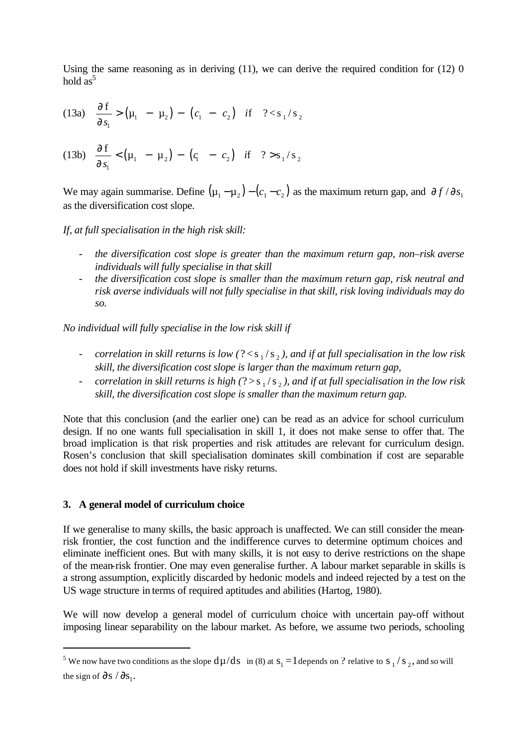Using the same reasoning as in deriving  $(11)$ , we can derive the required condition for  $(12)$  0 hold  $as^5$ 

(13a) 
$$
\frac{\partial f}{\partial s_1} > (\mu_1 - \mu_2) - (c_1 - c_2)
$$
 if  $? < s_1/s_2$ 

(13b) 
$$
\frac{\partial f}{\partial s_1} < (\mu_1 - \mu_2) - (q - c_2)
$$
 if  $? > s_1/s_2$ 

We may again summarise. Define  $(\mu_1 - \mu_2) - (c_1 - c_2)$  as the maximum return gap, and  $\partial f / \partial s_1$ as the diversification cost slope.

*If, at full specialisation in the high risk skill:*

- *the diversification cost slope is greater than the maximum return gap, non–risk averse individuals will fully specialise in that skill*
- *the diversification cost slope is smaller than the maximum return gap, risk neutral and risk averse individuals will not fully specialise in that skill, risk loving individuals may do so.*

*No individual will fully specialise in the low risk skill if*

- *correlation in skill returns is low* (?<s, /s,), and if at full specialisation in the low risk *skill, the diversification cost slope is larger than the maximum return gap,*
- *correlation in skill returns is high* (?>s,/s,), and if at full specialisation in the low risk *skill, the diversification cost slope is smaller than the maximum return gap.*

Note that this conclusion (and the earlier one) can be read as an advice for school curriculum design. If no one wants full specialisation in skill 1, it does not make sense to offer that. The broad implication is that risk properties and risk attitudes are relevant for curriculum design. Rosen's conclusion that skill specialisation dominates skill combination if cost are separable does not hold if skill investments have risky returns.

### **3. A general model of curriculum choice**

l

If we generalise to many skills, the basic approach is unaffected. We can still consider the meanrisk frontier, the cost function and the indifference curves to determine optimum choices and eliminate inefficient ones. But with many skills, it is not easy to derive restrictions on the shape of the mean-risk frontier. One may even generalise further. A labour market separable in skills is a strong assumption, explicitly discarded by hedonic models and indeed rejected by a test on the US wage structure in terms of required aptitudes and abilities (Hartog, 1980).

We will now develop a general model of curriculum choice with uncertain pay-off without imposing linear separability on the labour market. As before, we assume two periods, schooling

<sup>&</sup>lt;sup>5</sup> We now have two conditions as the slope  $d\mu/ds$  in (8) at  $s_1 = 1$  depends on ? relative to  $s_1/s_2$ , and so will the sign of  $\partial s / \partial s$ .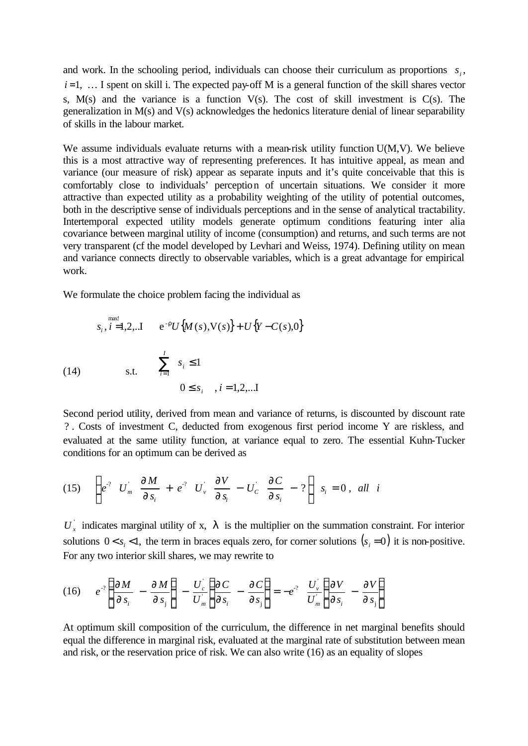and work. In the schooling period, individuals can choose their curriculum as proportions  $s_i$ ,  $i=1, \ldots$  I spent on skill i. The expected pay-off M is a general function of the skill shares vector s,  $M(s)$  and the variance is a function  $V(s)$ . The cost of skill investment is  $C(s)$ . The generalization in M(s) and V(s) acknowledges the hedonics literature denial of linear separability of skills in the labour market.

We assume individuals evaluate returns with a mean-risk utility function  $U(M, V)$ . We believe this is a most attractive way of representing preferences. It has intuitive appeal, as mean and variance (our measure of risk) appear as separate inputs and it's quite conceivable that this is comfortably close to individuals' perception of uncertain situations. We consider it more attractive than expected utility as a probability weighting of the utility of potential outcomes, both in the descriptive sense of individuals perceptions and in the sense of analytical tractability. Intertemporal expected utility models generate optimum conditions featuring inter alia covariance between marginal utility of income (consumption) and returns, and such terms are not very transparent (cf the model developed by Levhari and Weiss, 1974). Defining utility on mean and variance connects directly to observable variables, which is a great advantage for empirical work.

We formulate the choice problem facing the individual as

(14) 
$$
s_{i}, i=1,2,..I \t e^{-r}U\{M(s), V(s)\} + U\{Y - C(s), 0\}
$$

$$
\sum_{i=1}^{I} s_{i} \le 1
$$

$$
0 \le s_{i}, i = 1,2,..I
$$

Second period utility, derived from mean and variance of returns, is discounted by discount rate ? . Costs of investment C, deducted from exogenous first period income Y are riskless, and evaluated at the same utility function, at variance equal to zero. The essential Kuhn-Tucker conditions for an optimum can be derived as

$$
(15) \quad \left\{ e^{-2} U_m \quad \frac{\partial M}{\partial s_i} + e^{-2} U_v \quad \frac{\partial V}{\partial s_i} - U_c \quad \frac{\partial C}{\partial s_i} - 2 \right\} \ s_i = 0 \ , \ \ all \ \ i
$$

 $U_x$  indicates marginal utility of x,  $I$  is the multiplier on the summation constraint. For interior solutions  $0 < s_i < 1$ , the term in braces equals zero, for corner solutions  $(s_i = 0)$  it is non-positive. For any two interior skill shares, we may rewrite to

$$
(16) \qquad e^{-2} \left\{ \frac{\partial M}{\partial s_i} - \frac{\partial M}{\partial s_j} \right\} - \frac{U_c'}{U_m} \left\{ \frac{\partial C}{\partial s_i} - \frac{\partial C}{\partial s_j} \right\} = -e^{-2} \frac{U_v'}{U_m} \left\{ \frac{\partial V}{\partial s_i} - \frac{\partial V}{\partial s_j} \right\}
$$

At optimum skill composition of the curriculum, the difference in net marginal benefits should equal the difference in marginal risk, evaluated at the marginal rate of substitution between mean and risk, or the reservation price of risk. We can also write (16) as an equality of slopes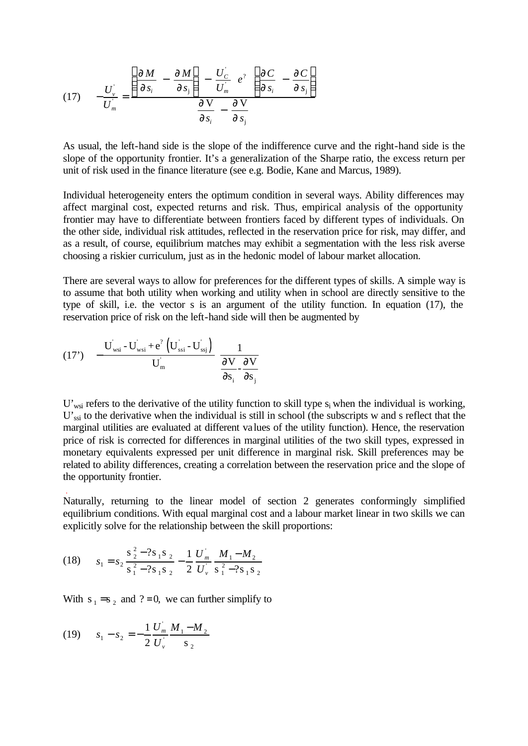(17) 
$$
-\frac{U_{\nu}^{'} }{U_{m}^{'} } = \frac{\left(\frac{\partial M}{\partial s_{i}} - \frac{\partial M}{\partial s_{j}}\right) - \frac{U_{C}^{'} }{U_{m}^{'} } e^2 \left(\frac{\partial C}{\partial s_{i}} - \frac{\partial C}{\partial s_{j}}\right)}{\frac{\partial V}{\partial s_{i}} - \frac{\partial V}{\partial s_{j}}}
$$

As usual, the left-hand side is the slope of the indifference curve and the right-hand side is the slope of the opportunity frontier. It's a generalization of the Sharpe ratio, the excess return per unit of risk used in the finance literature (see e.g. Bodie, Kane and Marcus, 1989).

Individual heterogeneity enters the optimum condition in several ways. Ability differences may affect marginal cost, expected returns and risk. Thus, empirical analysis of the opportunity frontier may have to differentiate between frontiers faced by different types of individuals. On the other side, individual risk attitudes, reflected in the reservation price for risk, may differ, and as a result, of course, equilibrium matches may exhibit a segmentation with the less risk averse choosing a riskier curriculum, just as in the hedonic model of labour market allocation.

There are several ways to allow for preferences for the different types of skills. A simple way is to assume that both utility when working and utility when in school are directly sensitive to the type of skill, i.e. the vector s is an argument of the utility function. In equation (17), the reservation price of risk on the left-hand side will then be augmented by

$$
(17') \quad -\frac{\mathbf{U}_{\text{wsi}} - \mathbf{U}_{\text{wsi}} + \mathbf{e}^2 \left( \mathbf{U}_{\text{ssi}} - \mathbf{U}_{\text{ssj}} \right)}{\mathbf{U}_{\text{m}}} \quad \frac{1}{\frac{\partial \mathbf{V}}{\partial \mathbf{s}_i} \cdot \frac{\partial \mathbf{V}}{\partial \mathbf{s}_j}}
$$

 $U'_{wsi}$  refers to the derivative of the utility function to skill type  $s_i$  when the individual is working, U'<sub>ssi</sub> to the derivative when the individual is still in school (the subscripts w and s reflect that the marginal utilities are evaluated at different values of the utility function). Hence, the reservation price of risk is corrected for differences in marginal utilities of the two skill types, expressed in monetary equivalents expressed per unit difference in marginal risk. Skill preferences may be related to ability differences, creating a correlation between the reservation price and the slope of the opportunity frontier.

Naturally, returning to the linear model of section 2 generates conformingly simplified equilibrium conditions. With equal marginal cost and a labour market linear in two skills we can explicitly solve for the relationship between the skill proportions:

(18) 
$$
s_1 = s_2 \frac{s_2^2 - 2s_1s_2}{s_1^2 - 2s_1s_2} - \frac{1}{2} \frac{U_m}{U_v} \frac{M_1 - M_2}{s_1^2 - 2s_1s_2}
$$

With  $s_1 = s_2$  and ?=0, we can further simplify to

$$
(19) \qquad s_1 - s_2 = -\frac{1}{2} \frac{U_m}{U_v} \frac{M_1 - M_2}{S_2}
$$

.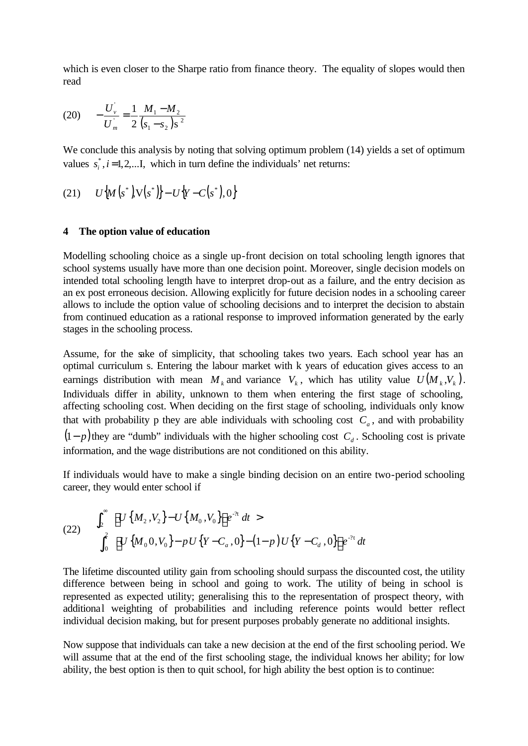which is even closer to the Sharpe ratio from finance theory. The equality of slopes would then read

$$
(20) \qquad -\frac{U_{v}^{2}}{U_{m}^{2}} = \frac{1}{2} \frac{M_{1} - M_{2}}{(s_{1} - s_{2})s^{2}}
$$

We conclude this analysis by noting that solving optimum problem  $(14)$  yields a set of optimum values  $s_i^*$ ,  $i = 1,2,...$  *I*, which in turn define the individuals' net returns:

(21) 
$$
U\{M(s^*)\}\{S(s^*)\} - U\{Y - C(s^*)\} = 0
$$

#### **4 The option value of education**

Modelling schooling choice as a single up-front decision on total schooling length ignores that school systems usually have more than one decision point. Moreover, single decision models on intended total schooling length have to interpret drop-out as a failure, and the entry decision as an ex post erroneous decision. Allowing explicitly for future decision nodes in a schooling career allows to include the option value of schooling decisions and to interpret the decision to abstain from continued education as a rational response to improved information generated by the early stages in the schooling process.

Assume, for the sake of simplicity, that schooling takes two years. Each school year has an optimal curriculum s. Entering the labour market with k years of education gives access to an earnings distribution with mean  $M_k$  and variance  $V_k$ , which has utility value  $U(M_k, V_k)$ . Individuals differ in ability, unknown to them when entering the first stage of schooling, affecting schooling cost. When deciding on the first stage of schooling, individuals only know that with probability p they are able individuals with schooling cost  $C_a$ , and with probability  $(1-p)$  they are "dumb" individuals with the higher schooling cost  $C_d$ . Schooling cost is private information, and the wage distributions are not conditioned on this ability.

If individuals would have to make a single binding decision on an entire two-period schooling career, they would enter school if

(22) 
$$
\int_{2}^{\infty} \left[ U \left\{ M_{2}, V_{2} \right\} - U \left\{ M_{0}, V_{0} \right\} \right] e^{-\lambda t} dt > \int_{0}^{2} \left[ U \left\{ M_{0}, V_{0} \right\} - p U \left\{ Y - C_{a}, 0 \right\} - (1-p) U \left\{ Y - C_{d}, 0 \right\} \right] e^{-\lambda t} dt
$$

The lifetime discounted utility gain from schooling should surpass the discounted cost, the utility difference between being in school and going to work. The utility of being in school is represented as expected utility; generalising this to the representation of prospect theory, with additional weighting of probabilities and including reference points would better reflect individual decision making, but for present purposes probably generate no additional insights.

Now suppose that individuals can take a new decision at the end of the first schooling period. We will assume that at the end of the first schooling stage, the individual knows her ability; for low ability, the best option is then to quit school, for high ability the best option is to continue: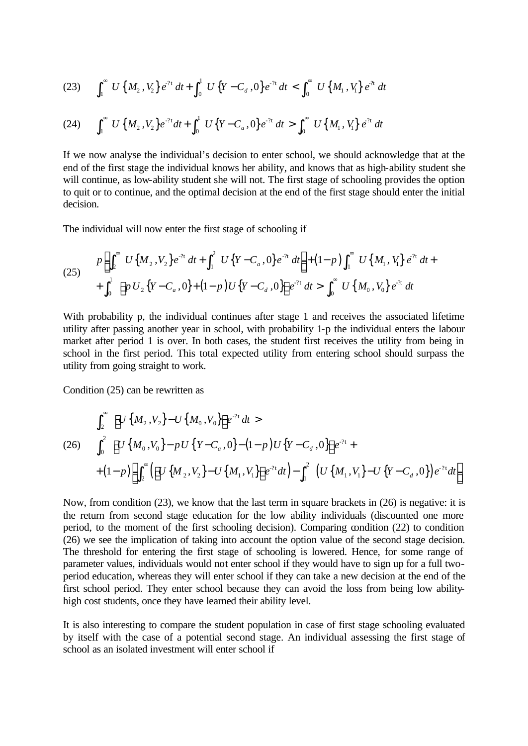$$
(23) \qquad \int_1^\infty U\left\{M_2\right\} V_2\right\} e^{2t} \, dt + \int_0^1 U\left\{Y - C_d\right\} e^{2t} \, dt < \int_0^\infty U\left\{M_1\right\} V_1\right\} e^{2t} \, dt
$$

$$
(24) \qquad \int_1^\infty U\left\{M_2\,,V_2\right\}e^{-2t}dt + \int_0^1 U\left\{Y-C_a\,,0\right\}e^{-2t}\,dt > \int_0^\infty U\left\{M_1\,,V_1\right\}e^{2t}\,dt
$$

If we now analyse the individual's decision to enter school, we should acknowledge that at the end of the first stage the individual knows her ability, and knows that as high-ability student she will continue, as low-ability student she will not. The first stage of schooling provides the option to quit or to continue, and the optimal decision at the end of the first stage should enter the initial decision.

The individual will now enter the first stage of schooling if

(25) 
$$
p\left[\int_2^{\infty} U\{M_2,V_2\}e^{-\lambda t} dt + \int_1^2 U\{Y-C_a,0\}e^{-\lambda t} dt\right] + (1-p)\int_1^{\infty} U\{M_1,V_1\}e^{\lambda t} dt + \int_0^1 \left[pU_2\{Y-C_a,0\} + (1-p)U\{Y-C_a,0\}\right]e^{\lambda t} dt > \int_0^{\infty} U\{M_0,V_0\}e^{\lambda t} dt
$$

With probability p, the individual continues after stage 1 and receives the associated lifetime utility after passing another year in school, with probability 1-p the individual enters the labour market after period 1 is over. In both cases, the student first receives the utility from being in school in the first period. This total expected utility from entering school should surpass the utility from going straight to work.

Condition (25) can be rewritten as

$$
\int_{2}^{\infty} \left[ U\left\{ M_{2}, V_{2}\right\} - U\left\{ M_{0}, V_{0}\right\} \right] e^{-2t} dt >
$$
\n(26) 
$$
\int_{0}^{2} \left[ U\left\{ M_{0}, V_{0}\right\} - pU\left\{ Y - C_{a}, 0\right\} - (1-p)U\left\{ Y - C_{d}, 0\right\} \right] e^{-2t} +
$$
\n
$$
+ (1-p) \left[ \int_{2}^{\infty} \left( \left[ U\left\{ M_{2}, V_{2}\right\} - U\left\{ M_{1}, V_{1}\right\} \right] e^{-2t} dt \right) - \int_{1}^{2} \left( U\left\{ M_{1}, V_{1}\right\} - U\left\{ Y - C_{d}, 0\right\} \right) e^{-2t} dt \right]
$$

Now, from condition (23), we know that the last term in square brackets in (26) is negative: it is the return from second stage education for the low ability individuals (discounted one more period, to the moment of the first schooling decision). Comparing condition (22) to condition (26) we see the implication of taking into account the option value of the second stage decision. The threshold for entering the first stage of schooling is lowered. Hence, for some range of parameter values, individuals would not enter school if they would have to sign up for a full twoperiod education, whereas they will enter school if they can take a new decision at the end of the first school period. They enter school because they can avoid the loss from being low abilityhigh cost students, once they have learned their ability level.

It is also interesting to compare the student population in case of first stage schooling evaluated by itself with the case of a potential second stage. An individual assessing the first stage of school as an isolated investment will enter school if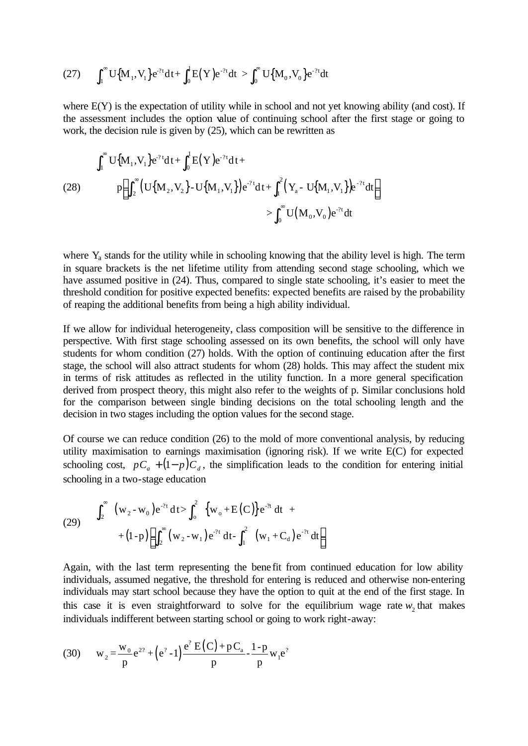(27) 
$$
\int_{1}^{\infty} U\big\{M_{1}, V_{1}\big\} e^{-2t} dt + \int_{0}^{1} E(Y) e^{-2t} dt > \int_{0}^{\infty} U\big\{M_{0}, V_{0}\big\} e^{-2t} dt
$$

where  $E(Y)$  is the expectation of utility while in school and not yet knowing ability (and cost). If the assessment includes the option value of continuing school after the first stage or going to work, the decision rule is given by (25), which can be rewritten as

(28) 
$$
\int_{1}^{\infty} U\{M_{1}, V_{1}\}e^{-2t}dt + \int_{0}^{1} E(Y)e^{-2t}dt + \int_{1}^{2} (Y_{a} - U\{M_{1}, V_{1}\})e^{-2t}dt + \int_{1}^{2} (Y_{a} - U\{M_{1}, V_{1}\})e^{-2t}dt \Big] \newline \quad \leq \int_{0}^{\infty} U(M_{0}, V_{0})e^{-2t}dt
$$

where  $Y_a$  stands for the utility while in schooling knowing that the ability level is high. The term in square brackets is the net lifetime utility from attending second stage schooling, which we have assumed positive in (24). Thus, compared to single state schooling, it's easier to meet the threshold condition for positive expected benefits: expected benefits are raised by the probability of reaping the additional benefits from being a high ability individual.

If we allow for individual heterogeneity, class composition will be sensitive to the difference in perspective. With first stage schooling assessed on its own benefits, the school will only have students for whom condition (27) holds. With the option of continuing education after the first stage, the school will also attract students for whom (28) holds. This may affect the student mix in terms of risk attitudes as reflected in the utility function. In a more general specification derived from prospect theory, this might also refer to the weights of p. Similar conclusions hold for the comparison between single binding decisions on the total schooling length and the decision in two stages including the option values for the second stage.

Of course we can reduce condition (26) to the mold of more conventional analysis, by reducing utility maximisation to earnings maximisation (ignoring risk). If we write E(C) for expected schooling cost,  $pC_a + (1-p)C_d$ , the simplification leads to the condition for entering initial schooling in a two-stage education

(29) 
$$
\int_{2}^{\infty} (w_{2} - w_{0}) e^{-2t} dt > \int_{0}^{2} \{w_{0} + E(C)\} e^{-2t} dt +
$$

$$
+ (1-p) \left[ \int_{2}^{\infty} (w_{2} - w_{1}) e^{-2t} dt - \int_{1}^{2} (w_{1} + C_{d}) e^{-2t} dt \right]
$$

Again, with the last term representing the benefit from continued education for low ability individuals, assumed negative, the threshold for entering is reduced and otherwise non-entering individuals may start school because they have the option to quit at the end of the first stage. In this case it is even straightforward to solve for the equilibrium wage rate  $w_2$  that makes individuals indifferent between starting school or going to work right-away:

(30) 
$$
w_2 = \frac{w_0}{p}e^{2^2} + (e^2 - 1)\frac{e^2 E(C) + pC_a}{p} - \frac{1-p}{p}w_1e^2
$$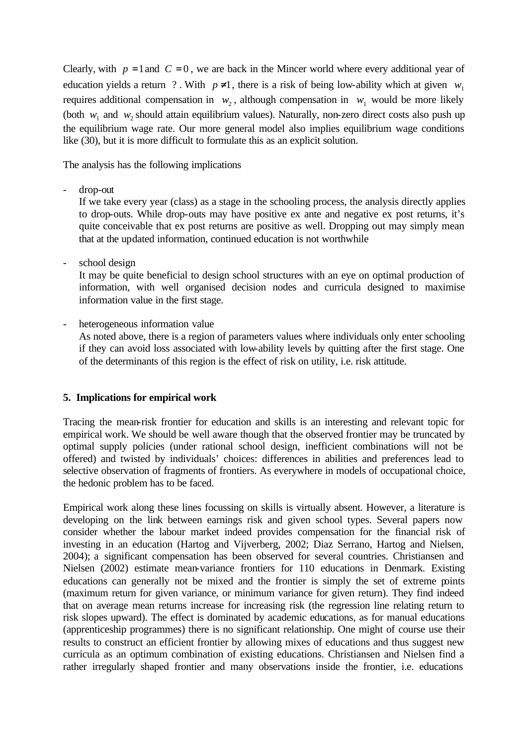Clearly, with  $p = 1$  and  $C = 0$ , we are back in the Mincer world where every additional year of education yields a return ? With  $p \neq 1$ , there is a risk of being low-ability which at given  $w_1$ requires additional compensation in  $w_2$ , although compensation in  $w_1$  would be more likely (both  $w_1$  and  $w_2$  should attain equilibrium values). Naturally, non-zero direct costs also push up the equilibrium wage rate. Our more general model also implies equilibrium wage conditions like (30), but it is more difficult to formulate this as an explicit solution.

The analysis has the following implications

drop-out

If we take every year (class) as a stage in the schooling process, the analysis directly applies to drop-outs. While drop-outs may have positive ex ante and negative ex post returns, it's quite conceivable that ex post returns are positive as well. Dropping out may simply mean that at the updated information, continued education is not worthwhile

school design

It may be quite beneficial to design school structures with an eye on optimal production of information, with well organised decision nodes and curricula designed to maximise information value in the first stage.

heterogeneous information value

As noted above, there is a region of parameters values where individuals only enter schooling if they can avoid loss associated with low-ability levels by quitting after the first stage. One of the determinants of this region is the effect of risk on utility, i.e. risk attitude.

# **5. Implications for empirical work**

Tracing the mean-risk frontier for education and skills is an interesting and relevant topic for empirical work. We should be well aware though that the observed frontier may be truncated by optimal supply policies (under rational school design, inefficient combinations will not be offered) and twisted by individuals' choices: differences in abilities and preferences lead to selective observation of fragments of frontiers. As everywhere in models of occupational choice, the hedonic problem has to be faced.

Empirical work along these lines focussing on skills is virtually absent. However, a literature is developing on the link between earnings risk and given school types. Several papers now consider whether the labour market indeed provides compensation for the financial risk of investing in an education (Hartog and Vijverberg, 2002; Diaz Serrano, Hartog and Nielsen, 2004); a significant compensation has been observed for several countries. Christiansen and Nielsen (2002) estimate mean-variance frontiers for 110 educations in Denmark. Existing educations can generally not be mixed and the frontier is simply the set of extreme points (maximum return for given variance, or minimum variance for given return). They find indeed that on average mean returns increase for increasing risk (the regression line relating return to risk slopes upward). The effect is dominated by academic educations, as for manual educations (apprenticeship programmes) there is no significant relationship. One might of course use their results to construct an efficient frontier by allowing mixes of educations and thus suggest new curricula as an optimum combination of existing educations. Christiansen and Nielsen find a rather irregularly shaped frontier and many observations inside the frontier, i.e. educations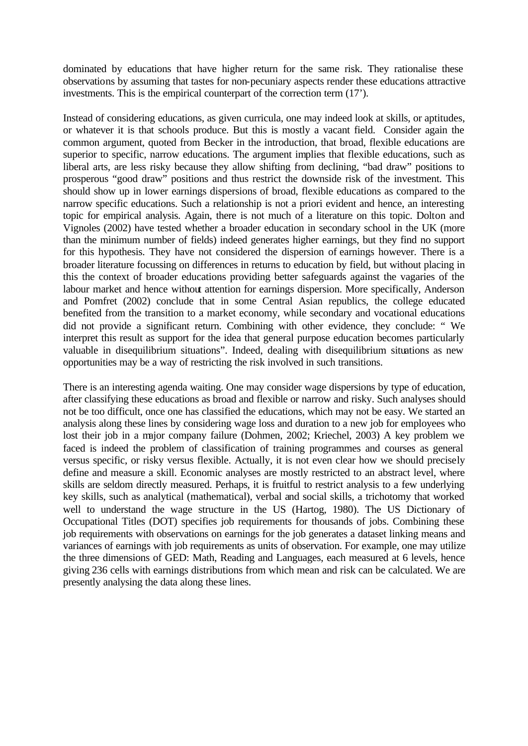dominated by educations that have higher return for the same risk. They rationalise these observations by assuming that tastes for non-pecuniary aspects render these educations attractive investments. This is the empirical counterpart of the correction term (17').

Instead of considering educations, as given curricula, one may indeed look at skills, or aptitudes, or whatever it is that schools produce. But this is mostly a vacant field. Consider again the common argument, quoted from Becker in the introduction, that broad, flexible educations are superior to specific, narrow educations. The argument implies that flexible educations, such as liberal arts, are less risky because they allow shifting from declining, "bad draw" positions to prosperous "good draw" positions and thus restrict the downside risk of the investment. This should show up in lower earnings dispersions of broad, flexible educations as compared to the narrow specific educations. Such a relationship is not a priori evident and hence, an interesting topic for empirical analysis. Again, there is not much of a literature on this topic. Dolton and Vignoles (2002) have tested whether a broader education in secondary school in the UK (more than the minimum number of fields) indeed generates higher earnings, but they find no support for this hypothesis. They have not considered the dispersion of earnings however. There is a broader literature focussing on differences in returns to education by field, but without placing in this the context of broader educations providing better safeguards against the vagaries of the labour market and hence without attention for earnings dispersion. More specifically, Anderson and Pomfret (2002) conclude that in some Central Asian republics, the college educated benefited from the transition to a market economy, while secondary and vocational educations did not provide a significant return. Combining with other evidence, they conclude: " We interpret this result as support for the idea that general purpose education becomes particularly valuable in disequilibrium situations". Indeed, dealing with disequilibrium situations as new opportunities may be a way of restricting the risk involved in such transitions.

There is an interesting agenda waiting. One may consider wage dispersions by type of education, after classifying these educations as broad and flexible or narrow and risky. Such analyses should not be too difficult, once one has classified the educations, which may not be easy. We started an analysis along these lines by considering wage loss and duration to a new job for employees who lost their job in a major company failure (Dohmen, 2002; Kriechel, 2003) A key problem we faced is indeed the problem of classification of training programmes and courses as general versus specific, or risky versus flexible. Actually, it is not even clear how we should precisely define and measure a skill. Economic analyses are mostly restricted to an abstract level, where skills are seldom directly measured. Perhaps, it is fruitful to restrict analysis to a few underlying key skills, such as analytical (mathematical), verbal and social skills, a trichotomy that worked well to understand the wage structure in the US (Hartog, 1980). The US Dictionary of Occupational Titles (DOT) specifies job requirements for thousands of jobs. Combining these job requirements with observations on earnings for the job generates a dataset linking means and variances of earnings with job requirements as units of observation. For example, one may utilize the three dimensions of GED: Math, Reading and Languages, each measured at 6 levels, hence giving 236 cells with earnings distributions from which mean and risk can be calculated. We are presently analysing the data along these lines.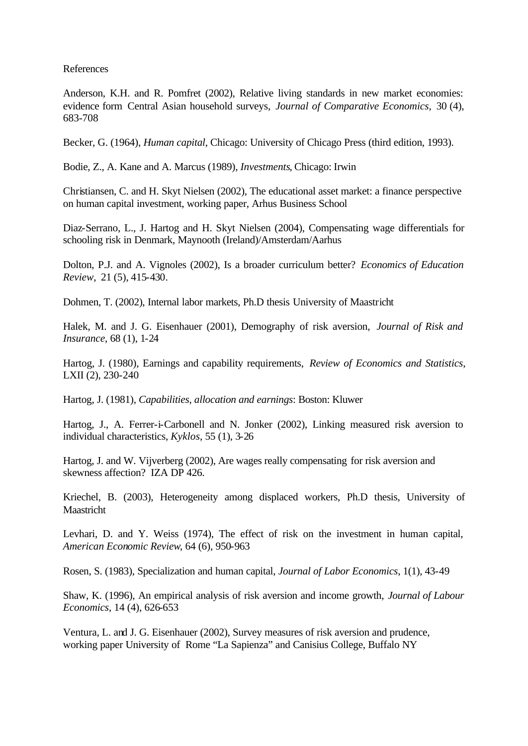References

Anderson, K.H. and R. Pomfret (2002), Relative living standards in new market economies: evidence form Central Asian household surveys, *Journal of Comparative Economics,* 30 (4), 683-708

Becker, G. (1964), *Human capital*, Chicago: University of Chicago Press (third edition, 1993).

Bodie, Z., A. Kane and A. Marcus (1989), *Investments*, Chicago: Irwin

Christiansen, C. and H. Skyt Nielsen (2002), The educational asset market: a finance perspective on human capital investment, working paper, Arhus Business School

Diaz-Serrano, L., J. Hartog and H. Skyt Nielsen (2004), Compensating wage differentials for schooling risk in Denmark, Maynooth (Ireland)/Amsterdam/Aarhus

Dolton, P.J. and A. Vignoles (2002), Is a broader curriculum better? *Economics of Education Review*, 21 (5), 415-430.

Dohmen, T. (2002), Internal labor markets, Ph.D thesis University of Maastricht

Halek, M. and J. G. Eisenhauer (2001), Demography of risk aversion, *Journal of Risk and Insurance*, 68 (1), 1-24

Hartog, J. (1980), Earnings and capability requirements, *Review of Economics and Statistics*, LXII (2), 230-240

Hartog, J. (1981), *Capabilities, allocation and earnings*: Boston: Kluwer

Hartog, J., A. Ferrer-i-Carbonell and N. Jonker (2002), Linking measured risk aversion to individual characteristics, *Kyklos*, 55 (1), 3-26

Hartog, J. and W. Vijverberg (2002), Are wages really compensating for risk aversion and skewness affection? IZA DP 426.

Kriechel, B. (2003), Heterogeneity among displaced workers, Ph.D thesis, University of **Maastricht** 

Levhari, D. and Y. Weiss (1974), The effect of risk on the investment in human capital, *American Economic Review*, 64 (6), 950-963

Rosen, S. (1983), Specialization and human capital, *Journal of Labor Economics*, 1(1), 43-49

Shaw, K. (1996), An empirical analysis of risk aversion and income growth, *Journal of Labour Economics*, 14 (4), 626-653

Ventura, L. and J. G. Eisenhauer (2002), Survey measures of risk aversion and prudence, working paper University of Rome "La Sapienza" and Canisius College, Buffalo NY